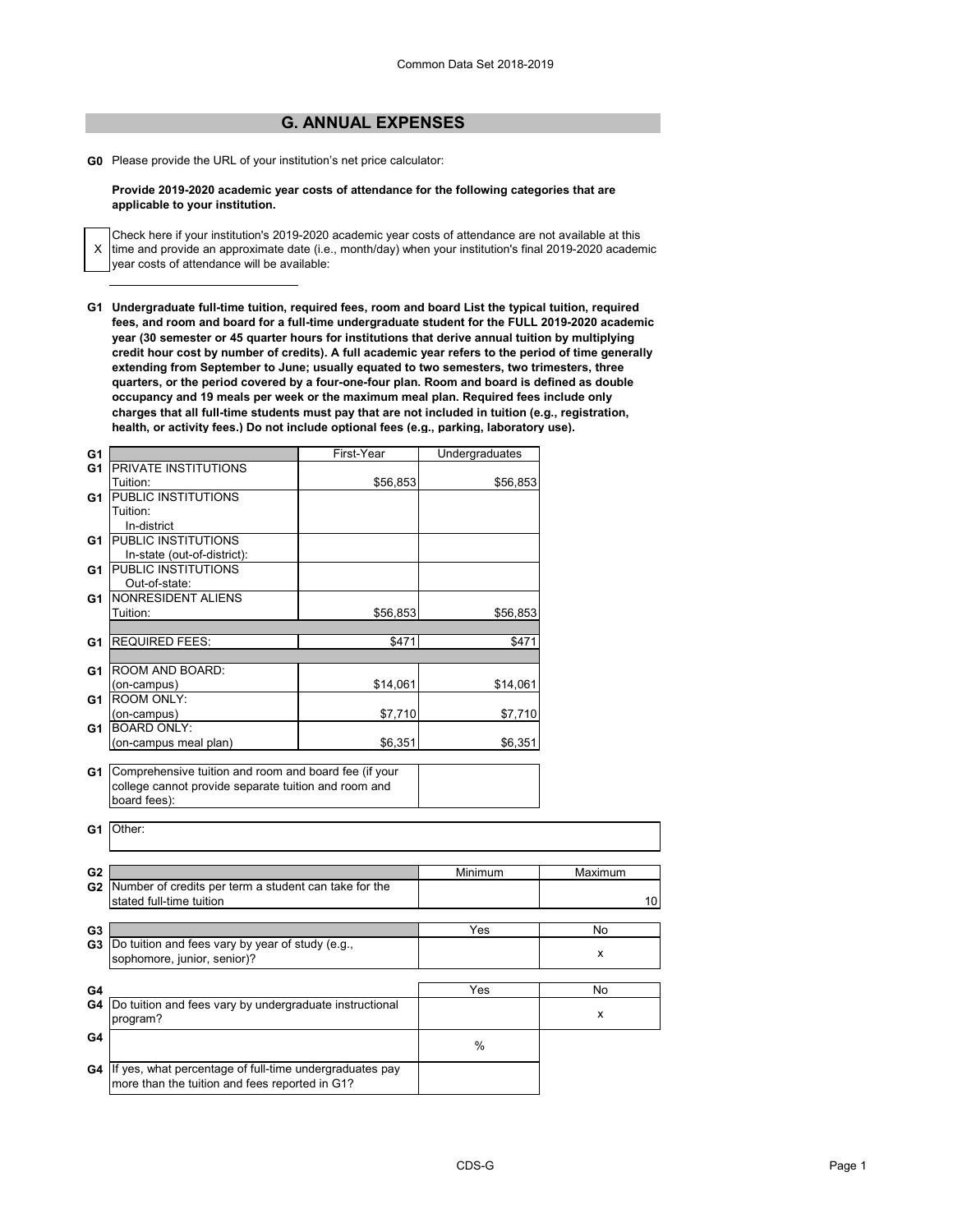## **G. ANNUAL EXPENSES**

**G0** Please provide the URL of your institution's net price calculator:

X

## **Provide 2019-2020 academic year costs of attendance for the following categories that are applicable to your institution.**

Check here if your institution's 2019-2020 academic year costs of attendance are not available at this time and provide an approximate date (i.e., month/day) when your institution's final 2019-2020 academic year costs of attendance will be available:

**G1 Undergraduate full-time tuition, required fees, room and board List the typical tuition, required fees, and room and board for a full-time undergraduate student for the FULL 2019-2020 academic year (30 semester or 45 quarter hours for institutions that derive annual tuition by multiplying credit hour cost by number of credits). A full academic year refers to the period of time generally extending from September to June; usually equated to two semesters, two trimesters, three quarters, or the period covered by a four-one-four plan. Room and board is defined as double occupancy and 19 meals per week or the maximum meal plan. Required fees include only charges that all full-time students must pay that are not included in tuition (e.g., registration, health, or activity fees.) Do not include optional fees (e.g., parking, laboratory use).**

| G1             |                                                                                                                                  | First-Year | Undergraduates   |         |
|----------------|----------------------------------------------------------------------------------------------------------------------------------|------------|------------------|---------|
| G1             | <b>PRIVATE INSTITUTIONS</b>                                                                                                      |            |                  |         |
|                | Tuition:                                                                                                                         | \$56,853   | \$56,853         |         |
| G1             | PUBLIC INSTITUTIONS                                                                                                              |            |                  |         |
|                | Tuition:                                                                                                                         |            |                  |         |
|                | In-district                                                                                                                      |            |                  |         |
| G1             | <b>PUBLIC INSTITUTIONS</b>                                                                                                       |            |                  |         |
|                | In-state (out-of-district):                                                                                                      |            |                  |         |
| G1             | <b>PUBLIC INSTITUTIONS</b>                                                                                                       |            |                  |         |
|                | Out-of-state:                                                                                                                    |            |                  |         |
| G1             | NONRESIDENT ALIENS                                                                                                               |            |                  |         |
|                | Tuition:                                                                                                                         | \$56,853   | \$56,853         |         |
|                |                                                                                                                                  |            |                  |         |
| G1             | <b>REQUIRED FEES:</b>                                                                                                            | \$471      | \$471            |         |
|                |                                                                                                                                  |            |                  |         |
|                | ROOM AND BOARD:                                                                                                                  |            |                  |         |
| G1             |                                                                                                                                  |            |                  |         |
|                | (on-campus)<br>ROOM ONLY:                                                                                                        | \$14,061   | \$14,061         |         |
| G <sub>1</sub> |                                                                                                                                  |            |                  |         |
|                | (on-campus)<br><b>BOARD ONLY:</b>                                                                                                | \$7,710    | \$7,710          |         |
| G1             |                                                                                                                                  |            |                  |         |
|                | (on-campus meal plan)                                                                                                            | \$6,351    | \$6,351          |         |
|                | G1 Comprehensive tuition and room and board fee (if your<br>college cannot provide separate tuition and room and<br>board fees): |            |                  |         |
| G1             | Other:                                                                                                                           |            |                  |         |
| G <sub>2</sub> |                                                                                                                                  |            | Minimum          | Maximum |
|                | G2 Number of credits per term a student can take for the                                                                         |            |                  |         |
|                | stated full-time tuition                                                                                                         |            |                  | $10$    |
|                |                                                                                                                                  |            |                  |         |
| G3             |                                                                                                                                  |            | $\overline{Yes}$ | No      |
|                | <b>G3</b> Do tuition and fees vary by year of study (e.g.,                                                                       |            |                  |         |
|                | sophomore, junior, senior)?                                                                                                      |            |                  | X       |
|                |                                                                                                                                  |            |                  |         |
| G4             |                                                                                                                                  |            | Yes              | No      |
|                |                                                                                                                                  |            |                  |         |
|                | G4 Do tuition and fees vary by undergraduate instructional<br>program?                                                           |            |                  | x       |
|                |                                                                                                                                  |            |                  |         |
| G4             |                                                                                                                                  |            | %                |         |
| G4             | If yes, what percentage of full-time undergraduates pay                                                                          |            |                  |         |
|                | more than the tuition and fees reported in G1?                                                                                   |            |                  |         |
|                |                                                                                                                                  |            |                  |         |